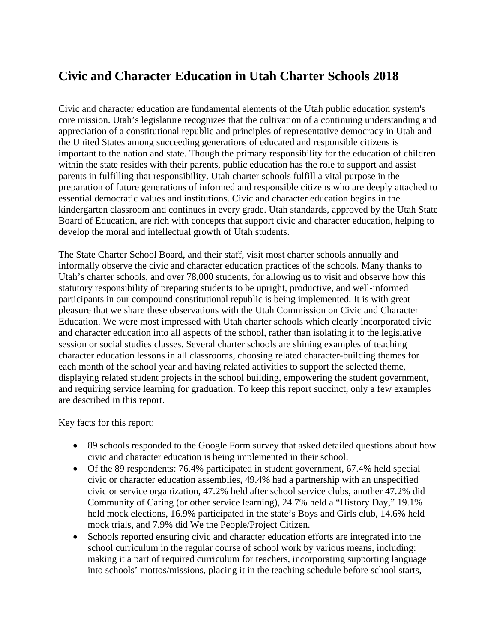## **Civic and Character Education in Utah Charter Schools 2018**

Civic and character education are fundamental elements of the Utah public education system's core mission. Utah's legislature recognizes that the cultivation of a continuing understanding and appreciation of a constitutional republic and principles of representative democracy in Utah and the United States among succeeding generations of educated and responsible citizens is important to the nation and state. Though the primary responsibility for the education of children within the state resides with their parents, public education has the role to support and assist parents in fulfilling that responsibility. Utah charter schools fulfill a vital purpose in the preparation of future generations of informed and responsible citizens who are deeply attached to essential democratic values and institutions. Civic and character education begins in the kindergarten classroom and continues in every grade. Utah standards, approved by the Utah State Board of Education, are rich with concepts that support civic and character education, helping to develop the moral and intellectual growth of Utah students.

The State Charter School Board, and their staff, visit most charter schools annually and informally observe the civic and character education practices of the schools. Many thanks to Utah's charter schools, and over 78,000 students, for allowing us to visit and observe how this statutory responsibility of preparing students to be upright, productive, and well-informed participants in our compound constitutional republic is being implemented. It is with great pleasure that we share these observations with the Utah Commission on Civic and Character Education. We were most impressed with Utah charter schools which clearly incorporated civic and character education into all aspects of the school, rather than isolating it to the legislative session or social studies classes. Several charter schools are shining examples of teaching character education lessons in all classrooms, choosing related character-building themes for each month of the school year and having related activities to support the selected theme, displaying related student projects in the school building, empowering the student government, and requiring service learning for graduation. To keep this report succinct, only a few examples are described in this report.

Key facts for this report:

- 89 schools responded to the Google Form survey that asked detailed questions about how civic and character education is being implemented in their school.
- Of the 89 respondents: 76.4% participated in student government, 67.4% held special civic or character education assemblies, 49.4% had a partnership with an unspecified civic or service organization, 47.2% held after school service clubs, another 47.2% did Community of Caring (or other service learning), 24.7% held a "History Day," 19.1% held mock elections, 16.9% participated in the state's Boys and Girls club, 14.6% held mock trials, and 7.9% did We the People/Project Citizen.
- Schools reported ensuring civic and character education efforts are integrated into the school curriculum in the regular course of school work by various means, including: making it a part of required curriculum for teachers, incorporating supporting language into schools' mottos/missions, placing it in the teaching schedule before school starts,